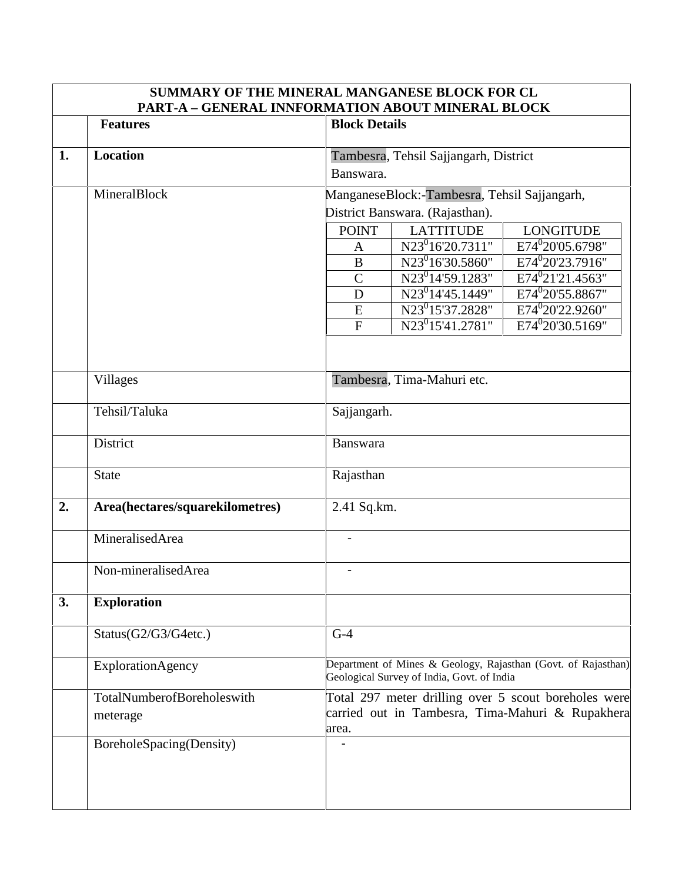|    | SUMMARY OF THE MINERAL MANGANESE BLOCK FOR CL<br>PART-A - GENERAL INNFORMATION ABOUT MINERAL BLOCK |                                                                                                    |                                                                                                             |                                                      |  |
|----|----------------------------------------------------------------------------------------------------|----------------------------------------------------------------------------------------------------|-------------------------------------------------------------------------------------------------------------|------------------------------------------------------|--|
|    | <b>Features</b>                                                                                    | <b>Block Details</b>                                                                               |                                                                                                             |                                                      |  |
| 1. | <b>Location</b>                                                                                    | Tambesra, Tehsil Sajjangarh, District<br>Banswara.<br>ManganeseBlock:-Tambesra, Tehsil Sajjangarh, |                                                                                                             |                                                      |  |
|    | MineralBlock                                                                                       |                                                                                                    |                                                                                                             |                                                      |  |
|    |                                                                                                    | District Banswara. (Rajasthan).                                                                    |                                                                                                             |                                                      |  |
|    |                                                                                                    | <b>POINT</b>                                                                                       | <b>LATTITUDE</b>                                                                                            | <b>LONGITUDE</b>                                     |  |
|    |                                                                                                    | $\mathbf{A}$                                                                                       | N23 <sup>0</sup> 16'20.7311"                                                                                | E74 <sup>0</sup> 20'05.6798"                         |  |
|    |                                                                                                    | $\bf{B}$                                                                                           | $N23^{0}16'30.5860"$                                                                                        | E74 <sup>0</sup> 20'23.7916"                         |  |
|    |                                                                                                    | $\overline{C}$                                                                                     | N23 <sup>0</sup> 14'59.1283"                                                                                | E74 <sup>0</sup> 21'21.4563"                         |  |
|    |                                                                                                    | D                                                                                                  | $N23^0$ 14'45.1449"                                                                                         | E74 <sup>0</sup> 20'55.8867"                         |  |
|    |                                                                                                    | E                                                                                                  | N23 <sup>0</sup> 15'37.2828"                                                                                | E74 <sup>0</sup> 20'22.9260"                         |  |
|    |                                                                                                    | ${\bf F}$                                                                                          | $N23^{0}15'41.2781"$                                                                                        | E74 <sup>0</sup> 20'30.5169"                         |  |
|    |                                                                                                    |                                                                                                    |                                                                                                             |                                                      |  |
|    | <b>Villages</b>                                                                                    |                                                                                                    | Tambesra, Tima-Mahuri etc.                                                                                  |                                                      |  |
|    | Tehsil/Taluka                                                                                      |                                                                                                    |                                                                                                             |                                                      |  |
|    |                                                                                                    | Sajjangarh.                                                                                        |                                                                                                             |                                                      |  |
|    | District                                                                                           | Banswara                                                                                           |                                                                                                             |                                                      |  |
|    | <b>State</b>                                                                                       | Rajasthan                                                                                          |                                                                                                             |                                                      |  |
| 2. | Area(hectares/squarekilometres)                                                                    | 2.41 Sq.km.                                                                                        |                                                                                                             |                                                      |  |
|    | MineralisedArea                                                                                    |                                                                                                    |                                                                                                             |                                                      |  |
|    | Non-mineralisedArea                                                                                |                                                                                                    |                                                                                                             |                                                      |  |
| 3. | <b>Exploration</b>                                                                                 |                                                                                                    |                                                                                                             |                                                      |  |
|    | Status(G2/G3/G4etc.)                                                                               | $G-4$                                                                                              |                                                                                                             |                                                      |  |
|    | ExplorationAgency                                                                                  |                                                                                                    | Department of Mines & Geology, Rajasthan (Govt. of Rajasthan)<br>Geological Survey of India, Govt. of India |                                                      |  |
|    | TotalNumberofBoreholeswith                                                                         |                                                                                                    |                                                                                                             | Total 297 meter drilling over 5 scout boreholes were |  |
|    | meterage                                                                                           |                                                                                                    |                                                                                                             | carried out in Tambesra, Tima-Mahuri & Rupakhera     |  |
|    |                                                                                                    | area.                                                                                              |                                                                                                             |                                                      |  |
|    | BoreholeSpacing(Density)                                                                           |                                                                                                    |                                                                                                             |                                                      |  |
|    |                                                                                                    |                                                                                                    |                                                                                                             |                                                      |  |
|    |                                                                                                    |                                                                                                    |                                                                                                             |                                                      |  |
|    |                                                                                                    |                                                                                                    |                                                                                                             |                                                      |  |

 $\overline{\phantom{a}}$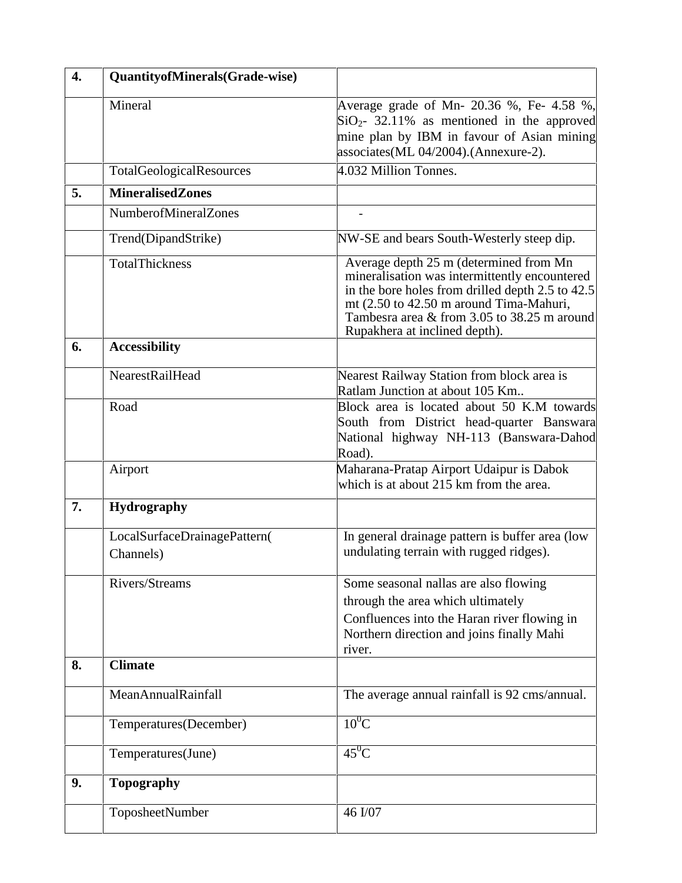| $\overline{4}$ . | QuantityofMinerals(Grade-wise)            |                                                                                                                                                                                                                                                                        |  |  |
|------------------|-------------------------------------------|------------------------------------------------------------------------------------------------------------------------------------------------------------------------------------------------------------------------------------------------------------------------|--|--|
|                  | Mineral                                   | Average grade of Mn- 20.36 %, Fe- 4.58 %,<br>$SiO2$ - 32.11% as mentioned in the approved<br>mine plan by IBM in favour of Asian mining<br>associates(ML 04/2004).(Annexure-2).                                                                                        |  |  |
|                  | TotalGeologicalResources                  | 4.032 Million Tonnes.                                                                                                                                                                                                                                                  |  |  |
| 5.               | <b>MineralisedZones</b>                   |                                                                                                                                                                                                                                                                        |  |  |
|                  | <b>NumberofMineralZones</b>               |                                                                                                                                                                                                                                                                        |  |  |
|                  | Trend(DipandStrike)                       | NW-SE and bears South-Westerly steep dip.                                                                                                                                                                                                                              |  |  |
|                  | TotalThickness                            | Average depth 25 m (determined from Mn<br>mineralisation was intermittently encountered<br>in the bore holes from drilled depth 2.5 to 42.5<br>mt (2.50 to 42.50 m around Tima-Mahuri,<br>Tambesra area & from 3.05 to 38.25 m around<br>Rupakhera at inclined depth). |  |  |
| 6.               | <b>Accessibility</b>                      |                                                                                                                                                                                                                                                                        |  |  |
|                  | <b>NearestRailHead</b>                    | Nearest Railway Station from block area is<br>Ratlam Junction at about 105 Km                                                                                                                                                                                          |  |  |
|                  | Road                                      | Block area is located about 50 K.M towards<br>South from District head-quarter Banswara<br>National highway NH-113 (Banswara-Dahod<br>Road).                                                                                                                           |  |  |
|                  | Airport                                   | Maharana-Pratap Airport Udaipur is Dabok<br>which is at about 215 km from the area.                                                                                                                                                                                    |  |  |
| 7.               | <b>Hydrography</b>                        |                                                                                                                                                                                                                                                                        |  |  |
|                  | LocalSurfaceDrainagePattern(<br>Channels) | In general drainage pattern is buffer area (low<br>undulating terrain with rugged ridges).                                                                                                                                                                             |  |  |
|                  | Rivers/Streams                            | Some seasonal nallas are also flowing<br>through the area which ultimately<br>Confluences into the Haran river flowing in<br>Northern direction and joins finally Mahi<br>river.                                                                                       |  |  |
| 8.               | <b>Climate</b>                            |                                                                                                                                                                                                                                                                        |  |  |
|                  | MeanAnnualRainfall                        | The average annual rainfall is 92 cms/annual.                                                                                                                                                                                                                          |  |  |
|                  | Temperatures(December)                    | $10^0$ C                                                                                                                                                                                                                                                               |  |  |
|                  | Temperatures(June)                        | $45^0C$                                                                                                                                                                                                                                                                |  |  |
| 9.               | <b>Topography</b>                         |                                                                                                                                                                                                                                                                        |  |  |
|                  | ToposheetNumber                           | 46 I/07                                                                                                                                                                                                                                                                |  |  |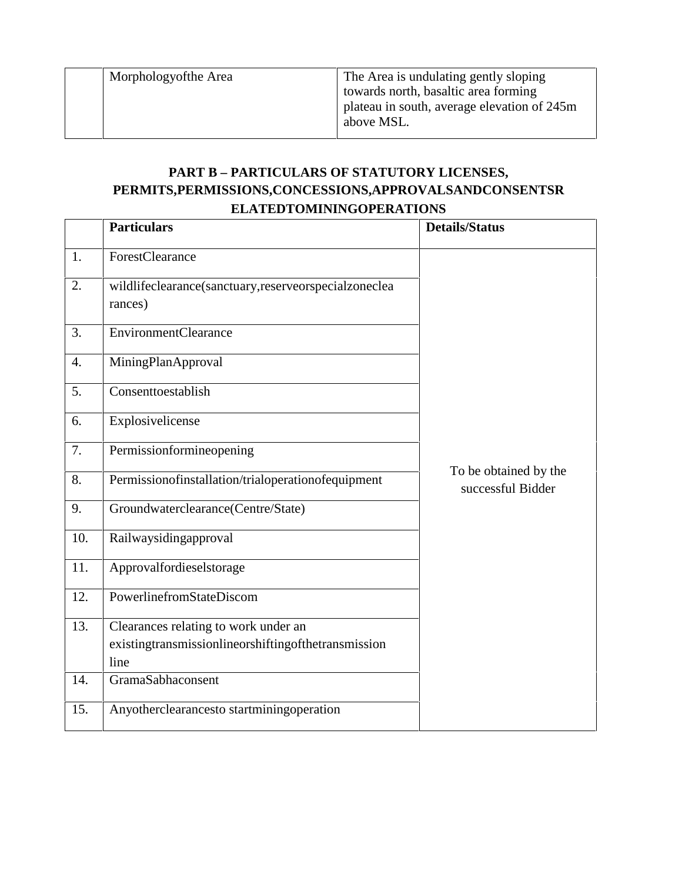Morphologyofthe Area The Area is undulating gently sloping towards north, basaltic area forming plateau in south, average elevation of 245m above MSL.

## **PART B – PARTICULARS OF STATUTORY LICENSES, PERMITS,PERMISSIONS,CONCESSIONS,APPROVALSANDCONSENTSR ELATEDTOMININGOPERATIONS**

|                  | <b>Particulars</b>                                                                                  | <b>Details/Status</b>                      |
|------------------|-----------------------------------------------------------------------------------------------------|--------------------------------------------|
| 1.               | ForestClearance                                                                                     |                                            |
| 2.               | wildlifeclearance(sanctuary,reserveorspecialzoneclea<br>rances)                                     |                                            |
| 3.               | <b>EnvironmentClearance</b>                                                                         |                                            |
| $\overline{4}$ . | MiningPlanApproval                                                                                  |                                            |
| 5.               | Consenttoestablish                                                                                  |                                            |
| 6.               | Explosivelicense                                                                                    |                                            |
| 7.               | Permissionformineopening                                                                            |                                            |
| 8.               | Permissionofinstallation/trialoperationofequipment                                                  | To be obtained by the<br>successful Bidder |
| 9.               | Groundwaterclearance(Centre/State)                                                                  |                                            |
| 10.              | Railwaysidingapproval                                                                               |                                            |
| 11.              | Approvalfordieselstorage                                                                            |                                            |
| 12.              | PowerlinefromStateDiscom                                                                            |                                            |
| 13.              | Clearances relating to work under an<br>existingtransmissionlineorshiftingofthetransmission<br>line |                                            |
| 14.              | GramaSabhaconsent                                                                                   |                                            |
| 15.              | Anyotherclearancesto startminingoperation                                                           |                                            |